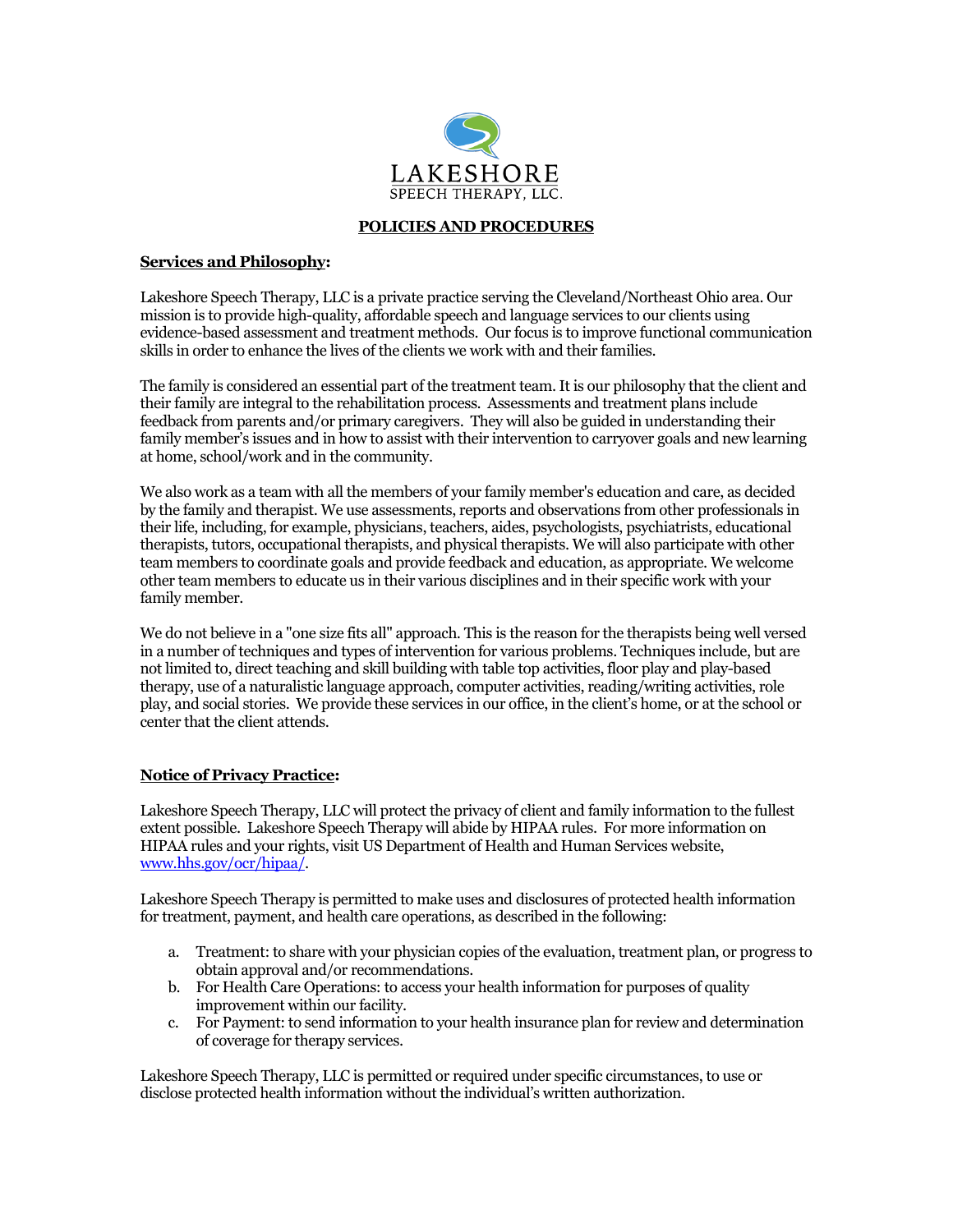

## **POLICIES AND PROCEDURES**

#### **Services and Philosophy:**

Lakeshore Speech Therapy, LLC is a private practice serving the Cleveland/Northeast Ohio area. Our mission is to provide high-quality, affordable speech and language services to our clients using evidence-based assessment and treatment methods. Our focus is to improve functional communication skills in order to enhance the lives of the clients we work with and their families.

The family is considered an essential part of the treatment team. It is our philosophy that the client and their family are integral to the rehabilitation process. Assessments and treatment plans include feedback from parents and/or primary caregivers. They will also be guided in understanding their family member's issues and in how to assist with their intervention to carryover goals and new learning at home, school/work and in the community.

We also work as a team with all the members of your family member's education and care, as decided by the family and therapist. We use assessments, reports and observations from other professionals in their life, including, for example, physicians, teachers, aides, psychologists, psychiatrists, educational therapists, tutors, occupational therapists, and physical therapists. We will also participate with other team members to coordinate goals and provide feedback and education, as appropriate. We welcome other team members to educate us in their various disciplines and in their specific work with your family member.

We do not believe in a "one size fits all" approach. This is the reason for the therapists being well versed in a number of techniques and types of intervention for various problems. Techniques include, but are not limited to, direct teaching and skill building with table top activities, floor play and play-based therapy, use of a naturalistic language approach, computer activities, reading/writing activities, role play, and social stories. We provide these services in our office, in the client's home, or at the school or center that the client attends.

### **Notice of Privacy Practice:**

Lakeshore Speech Therapy, LLC will protect the privacy of client and family information to the fullest extent possible. Lakeshore Speech Therapy will abide by HIPAA rules. For more information on HIPAA rules and your rights, visit US Department of Health and Human Services website, [www.hhs.gov/ocr/hipaa/.](http://www.hhs.gov/ocr/hipaa/)

Lakeshore Speech Therapy is permitted to make uses and disclosures of protected health information for treatment, payment, and health care operations, as described in the following:

- a. Treatment: to share with your physician copies of the evaluation, treatment plan, or progress to obtain approval and/or recommendations.
- b. For Health Care Operations: to access your health information for purposes of quality improvement within our facility.
- c. For Payment: to send information to your health insurance plan for review and determination of coverage for therapy services.

Lakeshore Speech Therapy, LLC is permitted or required under specific circumstances, to use or disclose protected health information without the individual's written authorization.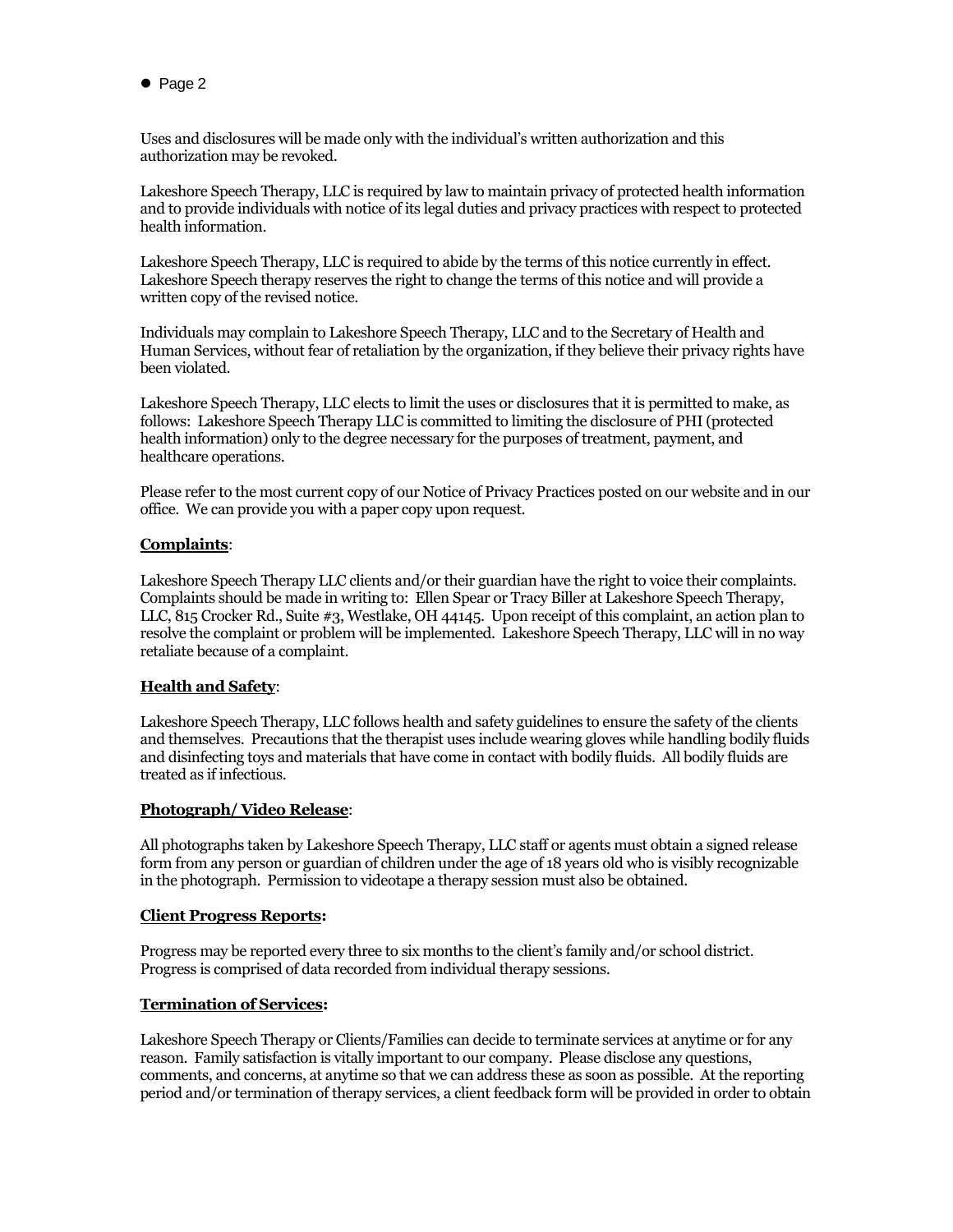$\bullet$  Page 2

Uses and disclosures will be made only with the individual's written authorization and this authorization may be revoked.

Lakeshore Speech Therapy, LLC is required by law to maintain privacy of protected health information and to provide individuals with notice of its legal duties and privacy practices with respect to protected health information.

Lakeshore Speech Therapy, LLC is required to abide by the terms of this notice currently in effect. Lakeshore Speech therapy reserves the right to change the terms of this notice and will provide a written copy of the revised notice.

Individuals may complain to Lakeshore Speech Therapy, LLC and to the Secretary of Health and Human Services, without fear of retaliation by the organization, if they believe their privacy rights have been violated.

Lakeshore Speech Therapy, LLC elects to limit the uses or disclosures that it is permitted to make, as follows: Lakeshore Speech Therapy LLC is committed to limiting the disclosure of PHI (protected health information) only to the degree necessary for the purposes of treatment, payment, and healthcare operations.

Please refer to the most current copy of our Notice of Privacy Practices posted on our website and in our office. We can provide you with a paper copy upon request.

### **Complaints**:

Lakeshore Speech Therapy LLC clients and/or their guardian have the right to voice their complaints. Complaints should be made in writing to: Ellen Spear or Tracy Biller at Lakeshore Speech Therapy, LLC, 815 Crocker Rd., Suite #3, Westlake, OH 44145. Upon receipt of this complaint, an action plan to resolve the complaint or problem will be implemented. Lakeshore Speech Therapy, LLC will in no way retaliate because of a complaint.

### **Health and Safety**:

Lakeshore Speech Therapy, LLC follows health and safety guidelines to ensure the safety of the clients and themselves. Precautions that the therapist uses include wearing gloves while handling bodily fluids and disinfecting toys and materials that have come in contact with bodily fluids. All bodily fluids are treated as if infectious.

### **Photograph/ Video Release**:

All photographs taken by Lakeshore Speech Therapy, LLC staff or agents must obtain a signed release form from any person or guardian of children under the age of 18 years old who is visibly recognizable in the photograph. Permission to videotape a therapy session must also be obtained.

### **Client Progress Reports:**

Progress may be reported every three to six months to the client's family and/or school district. Progress is comprised of data recorded from individual therapy sessions.

## **Termination of Services:**

Lakeshore Speech Therapy or Clients/Families can decide to terminate services at anytime or for any reason. Family satisfaction is vitally important to our company. Please disclose any questions, comments, and concerns, at anytime so that we can address these as soon as possible. At the reporting period and/or termination of therapy services, a client feedback form will be provided in order to obtain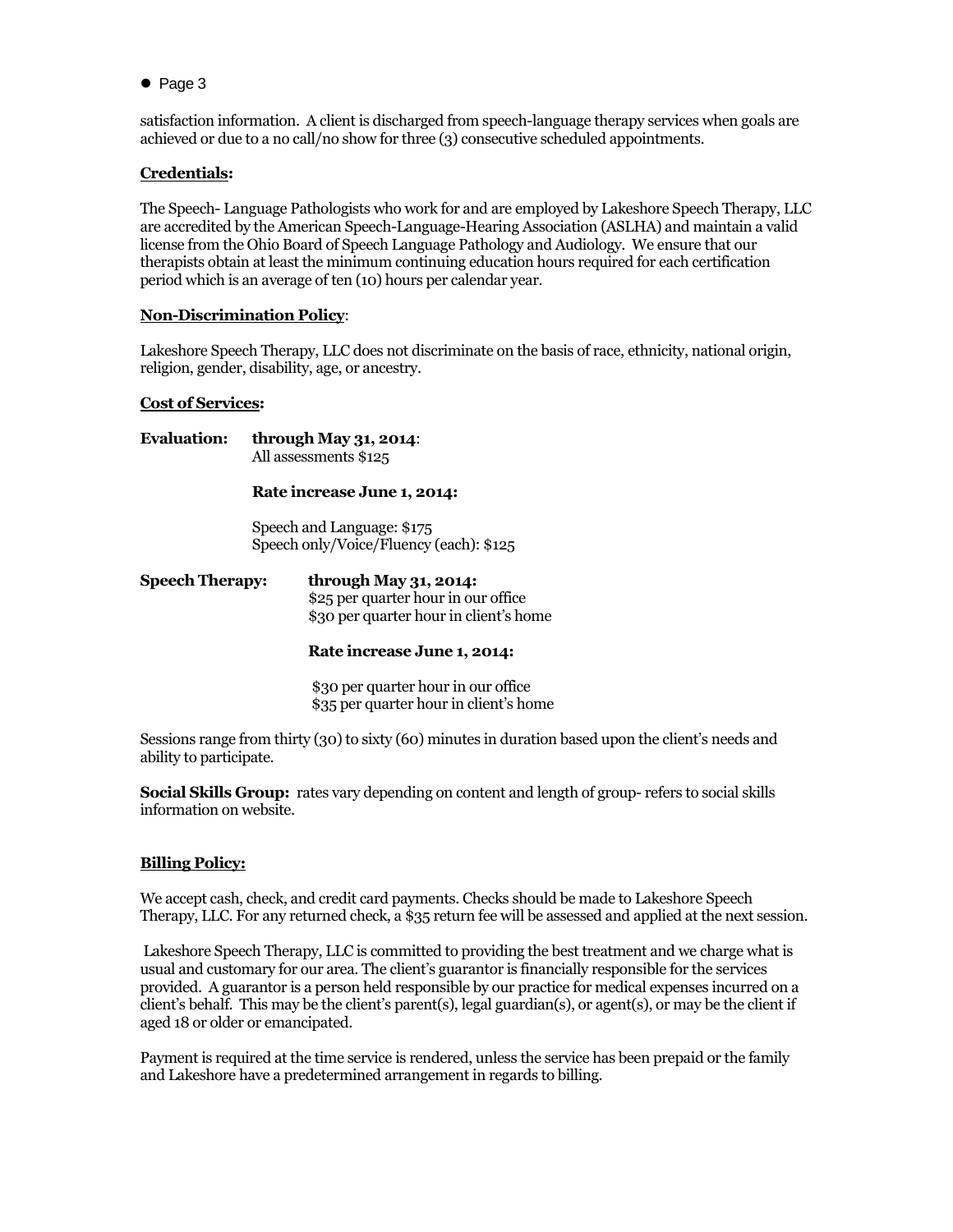$\bullet$  Page 3

satisfaction information. A client is discharged from speech-language therapy services when goals are achieved or due to a no call/no show for three (3) consecutive scheduled appointments.

## **Credentials:**

The Speech- Language Pathologists who work for and are employed by Lakeshore Speech Therapy, LLC are accredited by the American Speech-Language-Hearing Association (ASLHA) and maintain a valid license from the Ohio Board of Speech Language Pathology and Audiology. We ensure that our therapists obtain at least the minimum continuing education hours required for each certification period which is an average of ten (10) hours per calendar year.

## **Non-Discrimination Policy**:

Lakeshore Speech Therapy, LLC does not discriminate on the basis of race, ethnicity, national origin, religion, gender, disability, age, or ancestry.

## **Cost of Services:**

| <b>Evaluation:</b>     | through May 31, 2014:<br>All assessments \$125<br>Rate increase June 1, 2014: |                                                                                                        |  |
|------------------------|-------------------------------------------------------------------------------|--------------------------------------------------------------------------------------------------------|--|
|                        |                                                                               |                                                                                                        |  |
|                        |                                                                               | Speech and Language: \$175<br>Speech only/Voice/Fluency (each): \$125                                  |  |
| <b>Speech Therapy:</b> |                                                                               | through May 31, 2014:<br>\$25 per quarter hour in our office<br>\$30 per quarter hour in client's home |  |
|                        |                                                                               | Rate increase June 1, 2014:                                                                            |  |
|                        |                                                                               | \$30 per quarter hour in our office                                                                    |  |

\$35 per quarter hour in client's home

Sessions range from thirty (30) to sixty (60) minutes in duration based upon the client's needs and ability to participate.

**Social Skills Group:** rates vary depending on content and length of group- refers to social skills information on website.

### **Billing Policy:**

We accept cash, check, and credit card payments. Checks should be made to Lakeshore Speech Therapy, LLC. For any returned check, a \$35 return fee will be assessed and applied at the next session.

Lakeshore Speech Therapy, LLC is committed to providing the best treatment and we charge what is usual and customary for our area. The client's guarantor is financially responsible for the services provided. A guarantor is a person held responsible by our practice for medical expenses incurred on a client's behalf. This may be the client's parent(s), legal guardian(s), or agent(s), or may be the client if aged 18 or older or emancipated.

Payment is required at the time service is rendered, unless the service has been prepaid or the family and Lakeshore have a predetermined arrangement in regards to billing.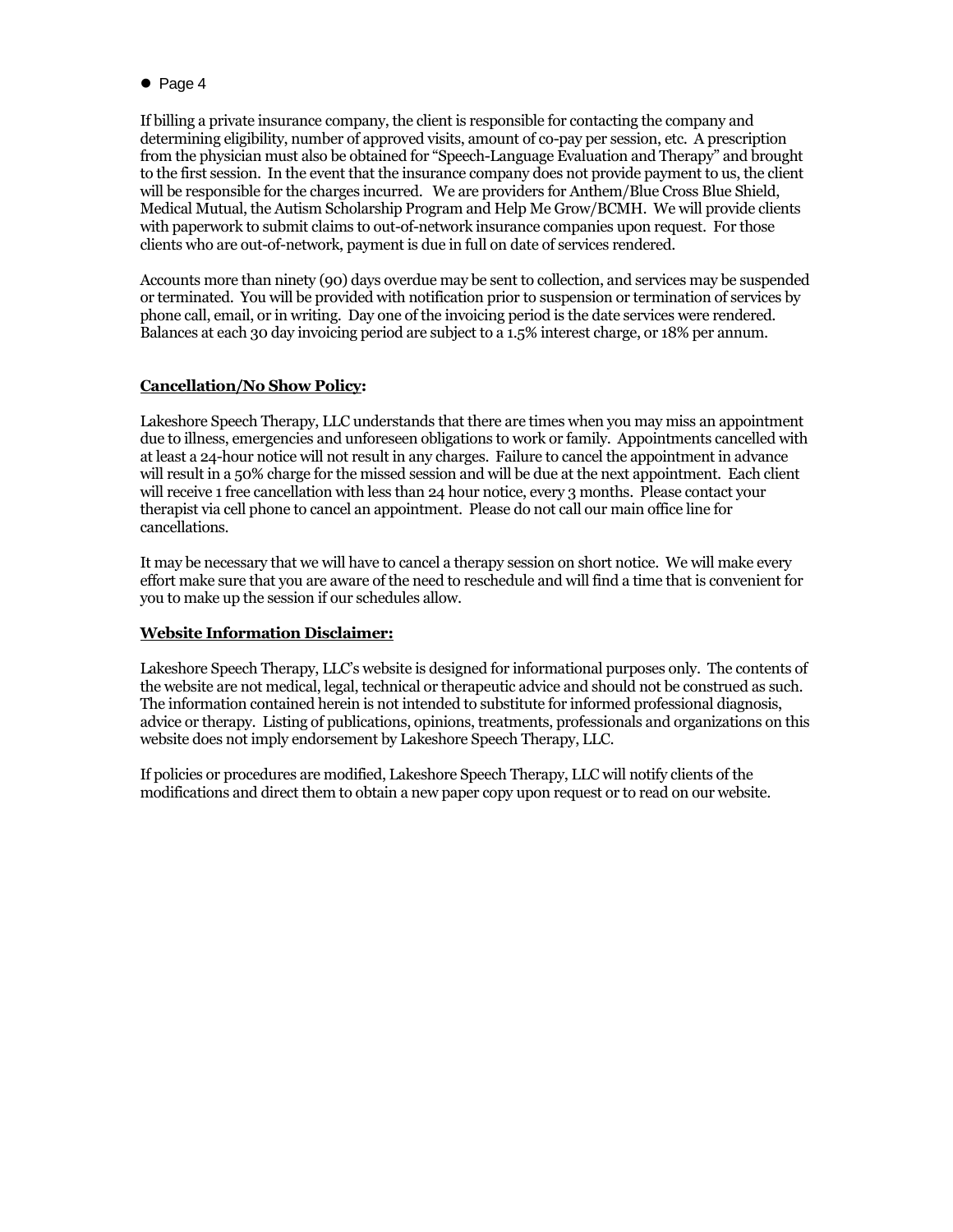$\bullet$  Page 4

If billing a private insurance company, the client is responsible for contacting the company and determining eligibility, number of approved visits, amount of co-pay per session, etc. A prescription from the physician must also be obtained for "Speech-Language Evaluation and Therapy" and brought to the first session. In the event that the insurance company does not provide payment to us, the client will be responsible for the charges incurred. We are providers for Anthem/Blue Cross Blue Shield, Medical Mutual, the Autism Scholarship Program and Help Me Grow/BCMH. We will provide clients with paperwork to submit claims to out-of-network insurance companies upon request. For those clients who are out-of-network, payment is due in full on date of services rendered.

Accounts more than ninety (90) days overdue may be sent to collection, and services may be suspended or terminated. You will be provided with notification prior to suspension or termination of services by phone call, email, or in writing. Day one of the invoicing period is the date services were rendered. Balances at each 30 day invoicing period are subject to a 1.5% interest charge, or 18% per annum.

# **Cancellation/No Show Policy:**

Lakeshore Speech Therapy, LLC understands that there are times when you may miss an appointment due to illness, emergencies and unforeseen obligations to work or family. Appointments cancelled with at least a 24-hour notice will not result in any charges. Failure to cancel the appointment in advance will result in a 50% charge for the missed session and will be due at the next appointment. Each client will receive 1 free cancellation with less than 24 hour notice, every 3 months. Please contact your therapist via cell phone to cancel an appointment. Please do not call our main office line for cancellations.

It may be necessary that we will have to cancel a therapy session on short notice. We will make every effort make sure that you are aware of the need to reschedule and will find a time that is convenient for you to make up the session if our schedules allow.

# **Website Information Disclaimer:**

Lakeshore Speech Therapy, LLC's website is designed for informational purposes only. The contents of the website are not medical, legal, technical or therapeutic advice and should not be construed as such. The information contained herein is not intended to substitute for informed professional diagnosis, advice or therapy. Listing of publications, opinions, treatments, professionals and organizations on this website does not imply endorsement by Lakeshore Speech Therapy, LLC.

If policies or procedures are modified, Lakeshore Speech Therapy, LLC will notify clients of the modifications and direct them to obtain a new paper copy upon request or to read on our website.